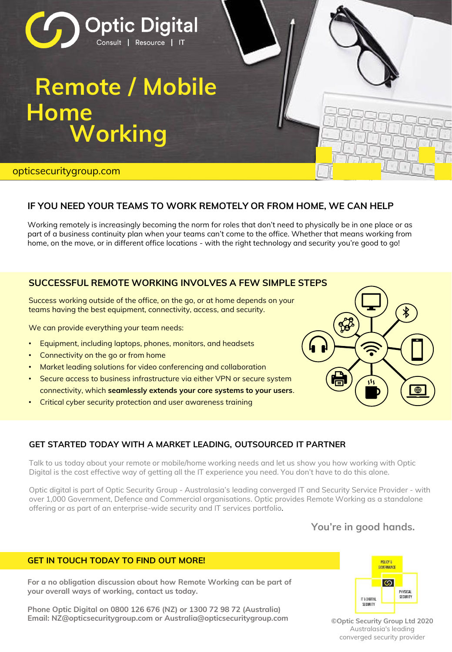

# **IF YOU NEED YOUR TEAMS TO WORK REMOTELY OR FROM HOME, WE CAN HELP**

Working remotely is increasingly becoming the norm for roles that don't need to physically be in one place or as part of a business continuity plan when your teams can't come to the office. Whether that means working from home, on the move, or in different office locations - with the right technology and security you're good to go!

# **SUCCESSFUL REMOTE WORKING INVOLVES A FEW SIMPLE STEPS**

Success working outside of the office, on the go, or at home depends on your teams having the best equipment, connectivity, access, and security.

We can provide everything your team needs:

- Equipment, including laptops, phones, monitors, and headsets
- Connectivity on the go or from home
- Market leading solutions for video conferencing and collaboration
- Secure access to business infrastructure via either VPN or secure system connectivity, which **seamlessly extends your core systems to your users**.
- Critical cyber security protection and user awareness training



### **GET STARTED TODAY WITH A MARKET LEADING, OUTSOURCED IT PARTNER**

Talk to us today about your remote or mobile/home working needs and let us show you how working with Optic Digital is the cost effective way of getting all the IT experience you need. You don't have to do this alone.

Optic digital is part of Optic Security Group - Australasia's leading converged IT and Security Service Provider - with over 1,000 Government, Defence and Commercial organisations. Optic provides Remote Working as a standalone offering or as part of an enterprise-wide security and IT services portfolio.

# **You're in good hands.**

#### **GET IN TOUCH TODAY TO FIND OUT MORE!**

**For a no obligation discussion about how Remote Working can be part of your overall ways of working, contact us today.**

**Phone Optic Digital on 0800 126 676 (NZ) or 1300 72 98 72 (Australia) Email: NZ@opticsecuritygroup.com or Australia@opticsecuritygroup.com ©Optic Security Group Ltd 2020**



Australasia's leading converged security provider